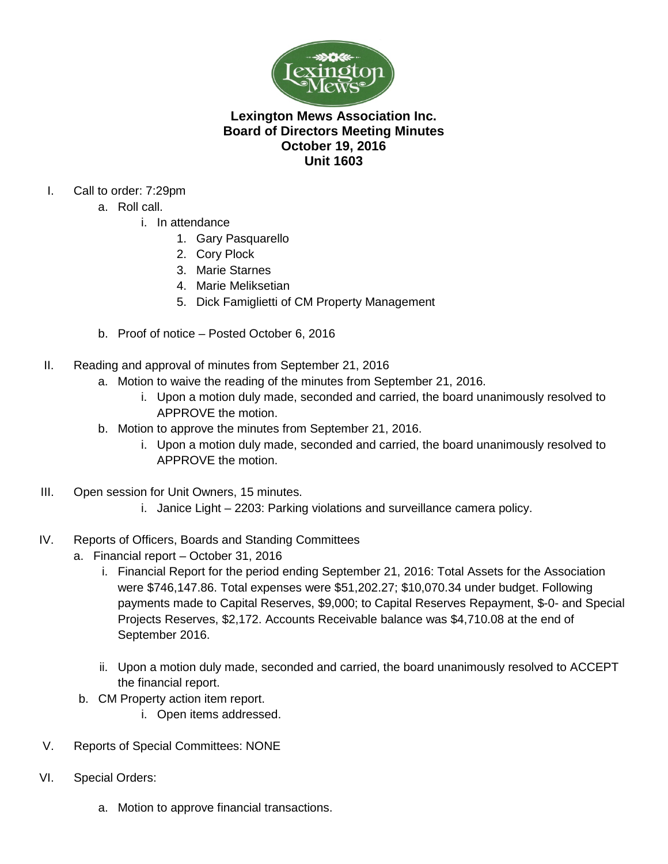

## **Lexington Mews Association Inc. Board of Directors Meeting Minutes October 19, 2016 Unit 1603**

- I. Call to order: 7:29pm
	- a. Roll call.
		- i. In attendance
			- 1. Gary Pasquarello
			- 2. Cory Plock
			- 3. Marie Starnes
			- 4. Marie Meliksetian
			- 5. Dick Famiglietti of CM Property Management
	- b. Proof of notice Posted October 6, 2016
- II. Reading and approval of minutes from September 21, 2016
	- a. Motion to waive the reading of the minutes from September 21, 2016.
		- i. Upon a motion duly made, seconded and carried, the board unanimously resolved to APPROVE the motion.
	- b. Motion to approve the minutes from September 21, 2016.
		- i. Upon a motion duly made, seconded and carried, the board unanimously resolved to APPROVE the motion.
- III. Open session for Unit Owners, 15 minutes.
	- i. Janice Light 2203: Parking violations and surveillance camera policy.
- IV. Reports of Officers, Boards and Standing Committees
	- a. Financial report October 31, 2016
		- i. Financial Report for the period ending September 21, 2016: Total Assets for the Association were \$746,147.86. Total expenses were \$51,202.27; \$10,070.34 under budget. Following payments made to Capital Reserves, \$9,000; to Capital Reserves Repayment, \$-0- and Special Projects Reserves, \$2,172. Accounts Receivable balance was \$4,710.08 at the end of September 2016.
		- ii. Upon a motion duly made, seconded and carried, the board unanimously resolved to ACCEPT the financial report.
	- b. CM Property action item report.
		- i. Open items addressed.
- V. Reports of Special Committees: NONE
- VI. Special Orders:
	- a. Motion to approve financial transactions.